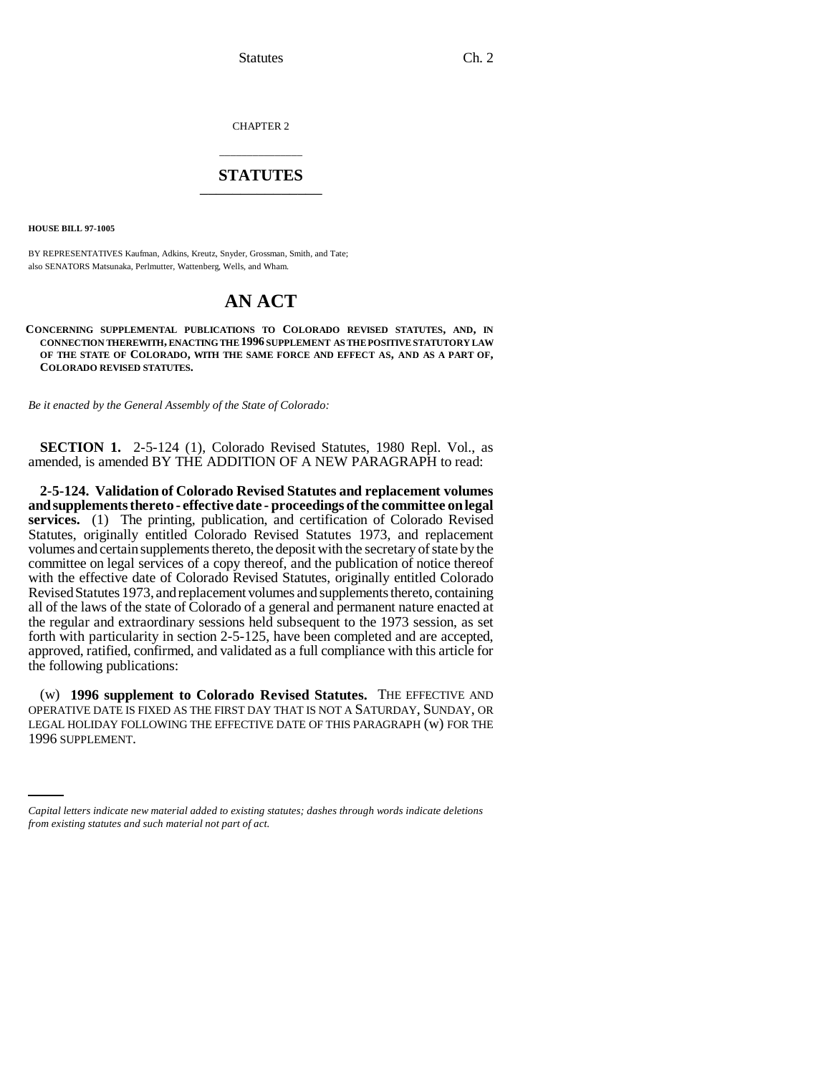Statutes Ch. 2

CHAPTER 2

## \_\_\_\_\_\_\_\_\_\_\_\_\_\_\_ **STATUTES** \_\_\_\_\_\_\_\_\_\_\_\_\_\_\_

**HOUSE BILL 97-1005**

BY REPRESENTATIVES Kaufman, Adkins, Kreutz, Snyder, Grossman, Smith, and Tate; also SENATORS Matsunaka, Perlmutter, Wattenberg, Wells, and Wham.

## **AN ACT**

**CONCERNING SUPPLEMENTAL PUBLICATIONS TO COLORADO REVISED STATUTES, AND, IN CONNECTION THEREWITH, ENACTING THE 1996 SUPPLEMENT AS THE POSITIVE STATUTORY LAW OF THE STATE OF COLORADO, WITH THE SAME FORCE AND EFFECT AS, AND AS A PART OF, COLORADO REVISED STATUTES.**

*Be it enacted by the General Assembly of the State of Colorado:*

**SECTION 1.** 2-5-124 (1), Colorado Revised Statutes, 1980 Repl. Vol., as amended, is amended BY THE ADDITION OF A NEW PARAGRAPH to read:

**2-5-124. Validation of Colorado Revised Statutes and replacement volumes and supplements thereto - effective date - proceedings of the committee on legal services.** (1) The printing, publication, and certification of Colorado Revised Statutes, originally entitled Colorado Revised Statutes 1973, and replacement volumes and certain supplements thereto, the deposit with the secretary of state by the committee on legal services of a copy thereof, and the publication of notice thereof with the effective date of Colorado Revised Statutes, originally entitled Colorado Revised Statutes 1973, and replacement volumes and supplements thereto, containing all of the laws of the state of Colorado of a general and permanent nature enacted at the regular and extraordinary sessions held subsequent to the 1973 session, as set forth with particularity in section 2-5-125, have been completed and are accepted, approved, ratified, confirmed, and validated as a full compliance with this article for the following publications:

LEGAL HOLIDAY FOLLOWING THE EFFECTIVE DATE OF THIS PARAGRAPH (w) FOR THE (w) **1996 supplement to Colorado Revised Statutes.** THE EFFECTIVE AND OPERATIVE DATE IS FIXED AS THE FIRST DAY THAT IS NOT A SATURDAY, SUNDAY, OR 1996 SUPPLEMENT.

*Capital letters indicate new material added to existing statutes; dashes through words indicate deletions from existing statutes and such material not part of act.*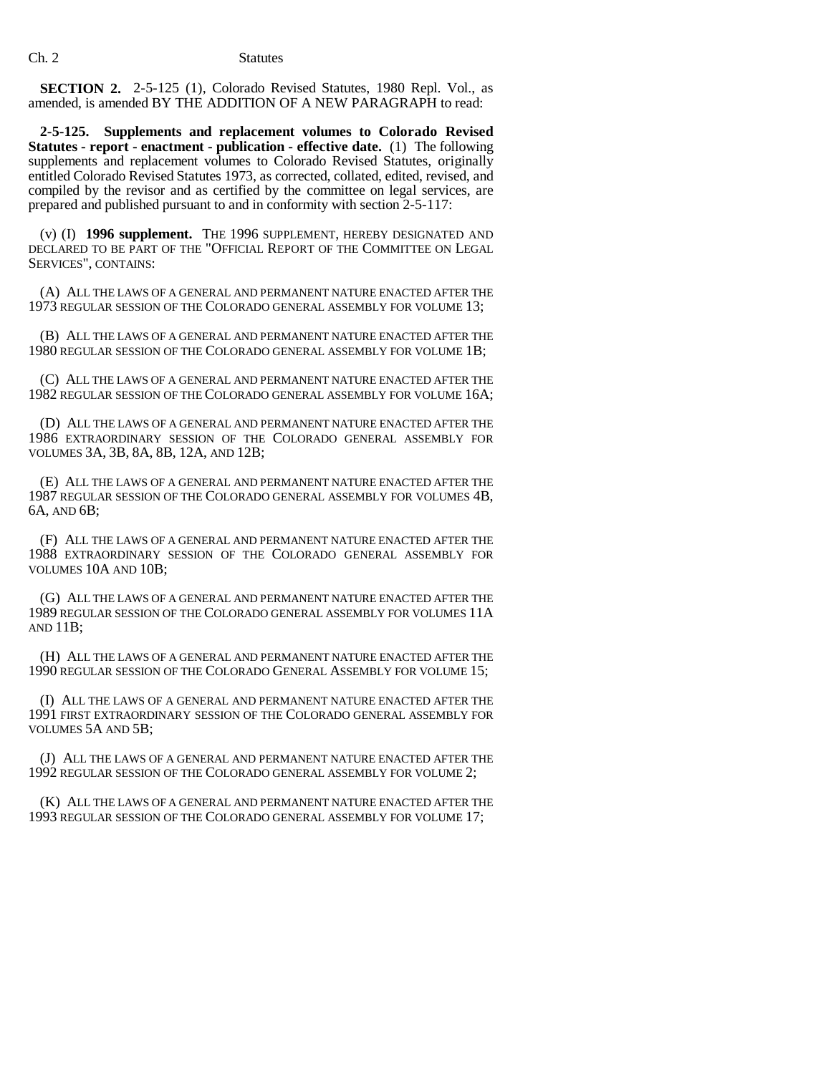**SECTION 2.** 2-5-125 (1), Colorado Revised Statutes, 1980 Repl. Vol., as amended, is amended BY THE ADDITION OF A NEW PARAGRAPH to read:

**2-5-125. Supplements and replacement volumes to Colorado Revised Statutes - report - enactment - publication - effective date.** (1) The following supplements and replacement volumes to Colorado Revised Statutes, originally entitled Colorado Revised Statutes 1973, as corrected, collated, edited, revised, and compiled by the revisor and as certified by the committee on legal services, are prepared and published pursuant to and in conformity with section 2-5-117:

(v) (I) **1996 supplement.** THE 1996 SUPPLEMENT, HEREBY DESIGNATED AND DECLARED TO BE PART OF THE "OFFICIAL REPORT OF THE COMMITTEE ON LEGAL SERVICES", CONTAINS:

(A) ALL THE LAWS OF A GENERAL AND PERMANENT NATURE ENACTED AFTER THE 1973 REGULAR SESSION OF THE COLORADO GENERAL ASSEMBLY FOR VOLUME 13;

(B) ALL THE LAWS OF A GENERAL AND PERMANENT NATURE ENACTED AFTER THE 1980 REGULAR SESSION OF THE COLORADO GENERAL ASSEMBLY FOR VOLUME 1B;

(C) ALL THE LAWS OF A GENERAL AND PERMANENT NATURE ENACTED AFTER THE 1982 REGULAR SESSION OF THE COLORADO GENERAL ASSEMBLY FOR VOLUME 16A;

(D) ALL THE LAWS OF A GENERAL AND PERMANENT NATURE ENACTED AFTER THE 1986 EXTRAORDINARY SESSION OF THE COLORADO GENERAL ASSEMBLY FOR VOLUMES 3A, 3B, 8A, 8B, 12A, AND 12B;

(E) ALL THE LAWS OF A GENERAL AND PERMANENT NATURE ENACTED AFTER THE 1987 REGULAR SESSION OF THE COLORADO GENERAL ASSEMBLY FOR VOLUMES 4B, 6A, AND 6B;

(F) ALL THE LAWS OF A GENERAL AND PERMANENT NATURE ENACTED AFTER THE 1988 EXTRAORDINARY SESSION OF THE COLORADO GENERAL ASSEMBLY FOR VOLUMES 10A AND 10B;

(G) ALL THE LAWS OF A GENERAL AND PERMANENT NATURE ENACTED AFTER THE 1989 REGULAR SESSION OF THE COLORADO GENERAL ASSEMBLY FOR VOLUMES 11A AND 11B;

(H) ALL THE LAWS OF A GENERAL AND PERMANENT NATURE ENACTED AFTER THE 1990 REGULAR SESSION OF THE COLORADO GENERAL ASSEMBLY FOR VOLUME 15;

(I) ALL THE LAWS OF A GENERAL AND PERMANENT NATURE ENACTED AFTER THE 1991 FIRST EXTRAORDINARY SESSION OF THE COLORADO GENERAL ASSEMBLY FOR VOLUMES 5A AND 5B;

(J) ALL THE LAWS OF A GENERAL AND PERMANENT NATURE ENACTED AFTER THE 1992 REGULAR SESSION OF THE COLORADO GENERAL ASSEMBLY FOR VOLUME 2;

(K) ALL THE LAWS OF A GENERAL AND PERMANENT NATURE ENACTED AFTER THE 1993 REGULAR SESSION OF THE COLORADO GENERAL ASSEMBLY FOR VOLUME 17;